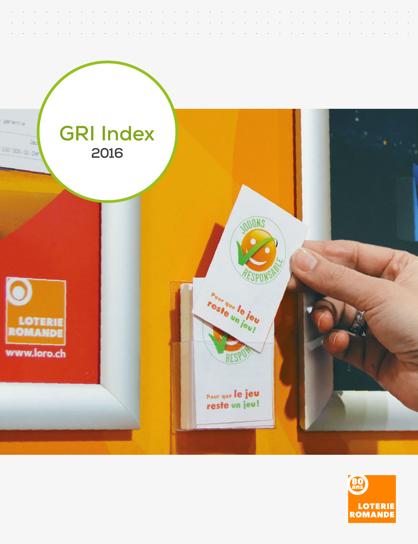

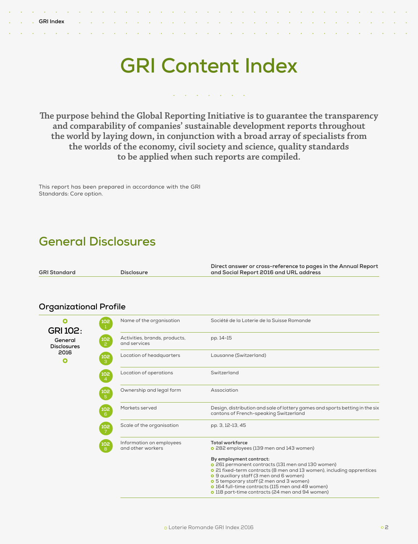# **GRI Content Index**

#### $\mathcal{L}$ the contract of the contract of  $\sim$  $\ddot{\phantom{a}}$

**The purpose behind the Global Reporting Initiative is to guarantee the transparency and comparability of companies' sustainable development reports throughout the world by laying down, in conjunction with a broad array of specialists from the worlds of the economy, civil society and science, quality standards to be applied when such reports are compiled.**

This report has been prepared in accordance with the GRI Standards: Core option.

# **General Disclosures**

|                     |                   | Direct answer or cross-reference to pages in the Annual Report |
|---------------------|-------------------|----------------------------------------------------------------|
| <b>GRI Standard</b> | <b>Disclosure</b> | and Social Report 2016 and URL address                         |

### **Organizational Profile**

**GRI 102: General Disclosures 2016**

 $\bullet$ 

 $\bullet$ 

|     | Name of the organisation                      | Société de la Loterie de la Suisse Romande                                                                                                                                                                                                                                                                                                                |
|-----|-----------------------------------------------|-----------------------------------------------------------------------------------------------------------------------------------------------------------------------------------------------------------------------------------------------------------------------------------------------------------------------------------------------------------|
|     | Activities, brands, products,<br>and services | pp. 14-15                                                                                                                                                                                                                                                                                                                                                 |
| 102 | Location of headquarters                      | Lausanne (Switzerland)                                                                                                                                                                                                                                                                                                                                    |
| 102 | Location of operations                        | Switzerland                                                                                                                                                                                                                                                                                                                                               |
| 102 | Ownership and legal form                      | Association                                                                                                                                                                                                                                                                                                                                               |
| 102 | Markets served                                | Design, distribution and sale of lottery games and sports betting in the six<br>cantons of French-speaking Switzerland                                                                                                                                                                                                                                    |
| 102 | Scale of the organisation                     | pp. 3, 12-13, 45                                                                                                                                                                                                                                                                                                                                          |
|     | Information on employees<br>and other workers | <b>Total workforce</b><br>o 282 employees (139 men and 143 women)                                                                                                                                                                                                                                                                                         |
|     |                                               | By employment contract:<br>o 261 permanent contracts (131 men and 130 women)<br>o 21 fixed-term contracts (8 men and 13 women), including apprentices<br>o 9 auxiliary staff (3 men and 6 women)<br>o 5 temporary staff (2 men and 3 women)<br>o 164 full-time contracts (115 men and 49 women)<br><b>o</b> 118 part-time contracts (24 men and 94 women) |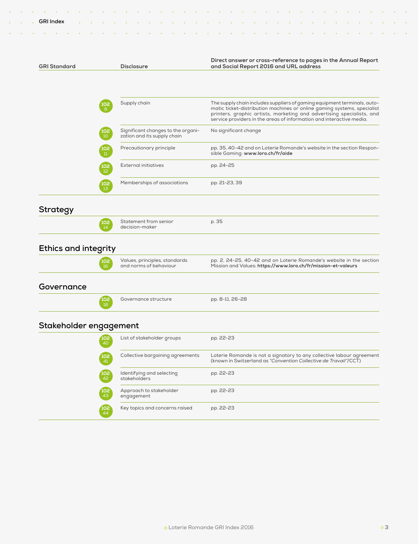| <b>GRI Standard</b>         | <b>Disclosure</b>                                                                           | Direct answer or cross-reference to pages in the Annual Report<br>and Social Report 2016 and URL address                                                                                                                                                                                             |
|-----------------------------|---------------------------------------------------------------------------------------------|------------------------------------------------------------------------------------------------------------------------------------------------------------------------------------------------------------------------------------------------------------------------------------------------------|
|                             |                                                                                             |                                                                                                                                                                                                                                                                                                      |
|                             | Supply chain<br>102<br>$\overline{9}$                                                       | The supply chain includes suppliers of gaming equipment terminals, auto-<br>matic ticket-distribution machines or online gaming systems, specialist<br>printers, graphic artists, marketing and advertising specialists, and<br>service providers in the areas of information and interactive media. |
|                             | Significant changes to the organi-<br>102<br>10 <sup>°</sup><br>zation and its supply chain | No significant change                                                                                                                                                                                                                                                                                |
|                             | Precautionary principle<br>102<br>11                                                        | pp. 35, 40-42 and on Loterie Romande's website in the section Respon-<br>sible Gaming: www.loro.ch/fr/aide                                                                                                                                                                                           |
|                             | <b>External initiatives</b><br>102<br>12                                                    | pp. 24-25                                                                                                                                                                                                                                                                                            |
|                             | Memberships of associations<br>$\begin{array}{c} 102 \\ 13 \end{array}$                     | pp. 21-23, 39                                                                                                                                                                                                                                                                                        |
| <b>Strategy</b>             |                                                                                             |                                                                                                                                                                                                                                                                                                      |
|                             | Statement from senior<br>102<br>14<br>decision-maker                                        | p. 35                                                                                                                                                                                                                                                                                                |
| <b>Ethics and integrity</b> |                                                                                             |                                                                                                                                                                                                                                                                                                      |
|                             | Values, principles, standards<br>102<br>and norms of behaviour<br>16                        | pp. 2, 24-25, 40-42 and on Loterie Romande's website in the section<br>Mission and Values: https://www.loro.ch/fr/mission-et-valeurs                                                                                                                                                                 |
| Governance                  |                                                                                             |                                                                                                                                                                                                                                                                                                      |
|                             | Governance structure<br>10 <sub>2</sub><br>18                                               | pp. 8-11, 26-28                                                                                                                                                                                                                                                                                      |
| Stakeholder engagement      |                                                                                             |                                                                                                                                                                                                                                                                                                      |
|                             | List of stakeholder groups<br>102<br>40                                                     | pp. 22-23                                                                                                                                                                                                                                                                                            |
|                             | Collective bargaining agreements<br>102<br>41                                               | Loterie Romande is not a signatory to any collective labour agreement<br>(known in Switzerland as "Convention Collective de Travail"/CCT)                                                                                                                                                            |
|                             | Identifying and selecting<br>102<br>42<br>stakeholders                                      | pp. 22-23                                                                                                                                                                                                                                                                                            |

pp. 22-23

**102**

**102** 44

Approach to stakeholder

Key topics and concerns raised pp. 22-23

engagement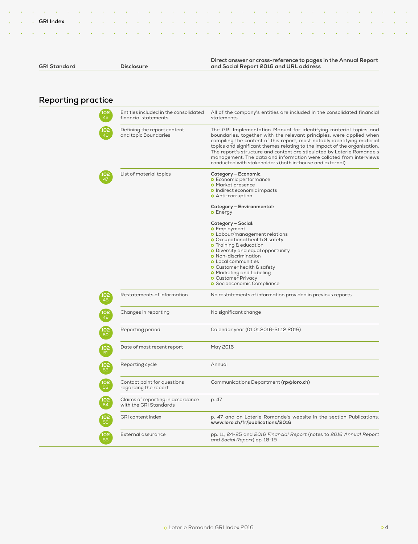|              |                   | Direct answer or cross-reference to pages in the Annual Report |
|--------------|-------------------|----------------------------------------------------------------|
| GRI Standard | <b>Disclosure</b> | and Social Report 2016 and URL address                         |

# **Reporting practice**

| Entities included in the consolidated<br>financial statements | All of the company's entities are included in the consolidated financial<br>statements.                                                                                                                                                                                                                                                                                                                                                                                                                        |
|---------------------------------------------------------------|----------------------------------------------------------------------------------------------------------------------------------------------------------------------------------------------------------------------------------------------------------------------------------------------------------------------------------------------------------------------------------------------------------------------------------------------------------------------------------------------------------------|
| Defining the report content<br>and topic Boundaries           | The GRI Implementation Manual for identifying material topics and<br>boundaries, together with the relevant principles, were applied when<br>compiling the content of this report, most notably identifying material<br>topics and significant themes relating to the impact of the organisation.<br>The report's structure and content are stipulated by Loterie Romande's<br>management. The data and information were collated from interviews<br>conducted with stakeholders (both in-house and external). |
| List of material topics                                       | Category - Economic:<br><b>O</b> Economic performance<br><b>O</b> Market presence<br><b>o</b> Indirect economic impacts<br><b>o</b> Anti-corruption                                                                                                                                                                                                                                                                                                                                                            |
|                                                               | Category - Environmental:<br><b>o</b> Energy                                                                                                                                                                                                                                                                                                                                                                                                                                                                   |
|                                                               | Category – Social:<br><b>O</b> Employment<br><b>O</b> Labour/management relations<br><b>O</b> Occupational health & safety<br><b>O</b> Training & education<br><b>O</b> Diversity and equal opportunity<br><b>o</b> Non-discrimination<br><b>O</b> Local communities<br><b>O</b> Customer health & safety<br><b>o</b> Marketing and Labeling<br><b>O</b> Customer Privacy<br><b>O</b> Socioeconomic Compliance                                                                                                 |
| Restatements of information                                   | No restatements of information provided in previous reports                                                                                                                                                                                                                                                                                                                                                                                                                                                    |
| Changes in reporting                                          | No significant change                                                                                                                                                                                                                                                                                                                                                                                                                                                                                          |
| Reporting period                                              | Calendar year (01.01.2016-31.12.2016)                                                                                                                                                                                                                                                                                                                                                                                                                                                                          |
| Date of most recent report                                    | May 2016                                                                                                                                                                                                                                                                                                                                                                                                                                                                                                       |
| Reporting cycle                                               | Annual                                                                                                                                                                                                                                                                                                                                                                                                                                                                                                         |
| Contact point for questions<br>regarding the report           | Communications Department (rp@loro.ch)                                                                                                                                                                                                                                                                                                                                                                                                                                                                         |
| Claims of reporting in accordance<br>with the GRI Standards   | p. 47                                                                                                                                                                                                                                                                                                                                                                                                                                                                                                          |
| GRI content index                                             | p. 47 and on Loterie Romande's website in the section Publications:<br>www.loro.ch/fr/publications/2016                                                                                                                                                                                                                                                                                                                                                                                                        |
| External assurance                                            | pp. 11, 24-25 and 2016 Financial Report (notes to 2016 Annual Report<br>and Social Report) pp. 18-19                                                                                                                                                                                                                                                                                                                                                                                                           |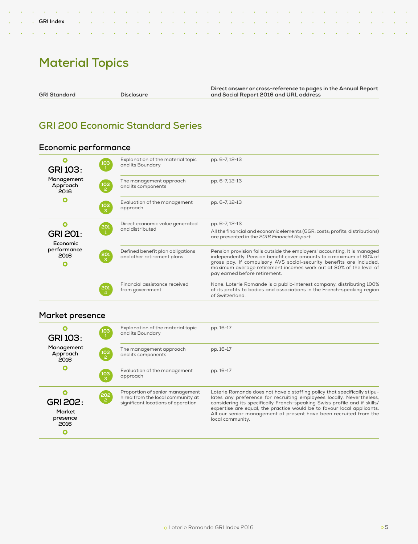# **Material Topics**

 $\mathcal{L}$ 

 $\mathbb{Z}^2$  $\ddot{\phantom{a}}$ 

**GRI Standard Disclosure**

**GRI Index**

**Contractor** 

 $\sim$  $\sim 10^7$ 

n.

 $\mathcal{L}$  $\mathcal{L}$  l. ÷. ÷.  $\ddot{\phantom{a}}$  ú. ÷.

**Direct answer or cross-reference to pages in the Annual Report and Social Report 2016 and URL address**

 $\mathbf{r}$ 

 $\mathbb{Z}^2$ 

 $\ddot{\phantom{a}}$  $\ddot{\phantom{a}}$ 

÷.

# **GRI 200 Economic Standard Series**

### **Economic performance**

| <b>GRI 103:</b>                | $\frac{103}{1}$      | Explanation of the material topic<br>and its Boundary          | pp. 6-7, 12-13                                                                                                                                                                                                                                                                                                                |
|--------------------------------|----------------------|----------------------------------------------------------------|-------------------------------------------------------------------------------------------------------------------------------------------------------------------------------------------------------------------------------------------------------------------------------------------------------------------------------|
| Management<br>Approach<br>2016 | 103                  | The management approach<br>and its components                  | pp. 6-7, 12-13                                                                                                                                                                                                                                                                                                                |
| O                              | 103<br>$\mathcal{B}$ | Evaluation of the management<br>approach                       | pp. 6-7, 12-13                                                                                                                                                                                                                                                                                                                |
| <b>GRI 201:</b><br>Economic    | $^{201}_{1}$         | Direct economic value generated<br>and distributed             | pp. 6-7, 12-13<br>All the financial and economic elements (GGR; costs; profits; distributions)<br>are presented in the 2016 Financial Report.                                                                                                                                                                                 |
| performance<br>2016            | $\frac{201}{3}$      | Defined benefit plan obligations<br>and other retirement plans | Pension provision falls outside the employers' accounting. It is managed<br>independently. Pension benefit cover amounts to a maximum of 60% of<br>gross pay. If compulsory AVS social-security benefits are included,<br>maximum average retirement incomes work out at 80% of the level of<br>pay earned before retirement. |
|                                |                      | Financial assistance received<br>from government               | None. Loterie Romande is a public-interest company, distributing 100%<br>of its profits to bodies and associations in the French-speaking region<br>of Switzerland.                                                                                                                                                           |

### **Market presence**

| О<br><b>GRI 103:</b>                               | 103             | Explanation of the material topic<br>and its Boundary                                                      | pp. 16-17                                                                                                                                                                                                                                                                                                                                                                                        |
|----------------------------------------------------|-----------------|------------------------------------------------------------------------------------------------------------|--------------------------------------------------------------------------------------------------------------------------------------------------------------------------------------------------------------------------------------------------------------------------------------------------------------------------------------------------------------------------------------------------|
| Management<br>Approach<br>2016                     | (103<br>С 2     | The management approach<br>and its components                                                              | pp. 16-17                                                                                                                                                                                                                                                                                                                                                                                        |
| О                                                  | $\frac{103}{3}$ | Evaluation of the management<br>approach                                                                   | pp. 16-17                                                                                                                                                                                                                                                                                                                                                                                        |
| <b>GRI 202:</b><br>Market<br>presence<br>2016<br>О | 202<br>202      | Proportion of senior management<br>hired from the local community at<br>significant locations of operation | Loterie Romande does not have a staffing policy that specifically stipu-<br>lates any preference for recruiting employees locally. Nevertheless,<br>considering its specifically French-speaking Swiss profile and if skills/<br>expertise are equal, the practice would be to favour local applicants.<br>All our senior management at present have been recruited from the<br>local community. |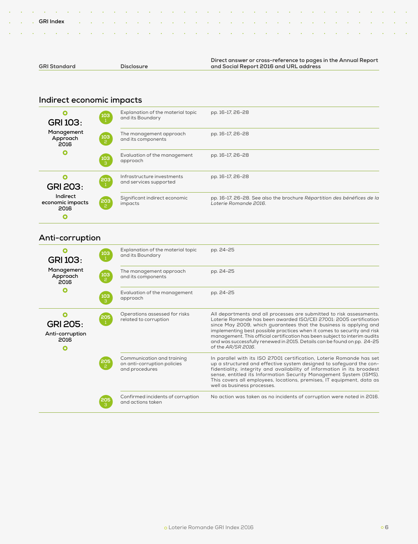|                     |                   | Direct answer or cross-reference to pages in the Annual Report |
|---------------------|-------------------|----------------------------------------------------------------|
| <b>GRI Standard</b> | <b>Disclosure</b> | and Social Report 2016 and URL address                         |

### **Indirect economic impacts**

| Ω<br><b>GRI 103:</b>                 | 103<br>$\pm$                             | Explanation of the material topic<br>and its Boundary | pp. 16-17, 26-28                                                                                 |
|--------------------------------------|------------------------------------------|-------------------------------------------------------|--------------------------------------------------------------------------------------------------|
| Management<br>Approach<br>2016       | (103<br>С 2                              | The management approach<br>and its components         | pp. 16-17, 26-28                                                                                 |
| O                                    | $\begin{bmatrix} 103 \\ 3 \end{bmatrix}$ | Evaluation of the management<br>approach              | pp. 16-17, 26-28                                                                                 |
| Ω<br><b>GRI 203:</b>                 | $\begin{pmatrix} 203 \\ 1 \end{pmatrix}$ | Infrastructure investments<br>and services supported  | pp. 16-17, 26-28                                                                                 |
| Indirect<br>economic impacts<br>2016 | 203<br>2                                 | Significant indirect economic<br>impacts              | pp. 16-17, 26-28. See also the brochure Répartition des bénéfices de la<br>Loterie Romande 2016. |

# **Anti-corruption**

 $\bullet$ 

| <b>GRI 103:</b>                            | 103<br>1        | Explanation of the material topic<br>and its Boundary                       | pp. 24-25                                                                                                                                                                                                                                                                                                                                                                                                                                                                  |
|--------------------------------------------|-----------------|-----------------------------------------------------------------------------|----------------------------------------------------------------------------------------------------------------------------------------------------------------------------------------------------------------------------------------------------------------------------------------------------------------------------------------------------------------------------------------------------------------------------------------------------------------------------|
| Management<br>Approach<br>2016             | $\frac{103}{2}$ | The management approach<br>and its components                               | pp. 24-25                                                                                                                                                                                                                                                                                                                                                                                                                                                                  |
| O                                          | $\frac{103}{3}$ | Evaluation of the management<br>approach                                    | pp. 24-25                                                                                                                                                                                                                                                                                                                                                                                                                                                                  |
| <b>GRI 205:</b><br>Anti-corruption<br>2016 | $\frac{205}{1}$ | Operations assessed for risks<br>related to corruption                      | All departments and all processes are submitted to risk assessments.<br>Loterie Romande has been awarded ISO/CEI 27001: 2005 certification<br>since May 2009, which guarantees that the business is applying and<br>implementing best possible practices when it comes to security and risk<br>management. This official certification has been subject to interim audits<br>and was successfully renewed in 2015. Details can be found on pp. 24-25<br>of the AR/SR 2016. |
|                                            | 205<br>、2       | Communication and training<br>on anti-corruption policies<br>and procedures | In parallel with its ISO 27001 certification, Loterie Romande has set<br>up a structured and effective system designed to safeguard the con-<br>fidentiality, integrity and availability of information in its broadest<br>sense, entitled its Information Security Management System (ISMS).<br>This covers all employees, locations, premises, IT equipment, data as<br>well as business processes.                                                                      |
|                                            | 205             | Confirmed incidents of corruption<br>and actions taken                      | No action was taken as no incidents of corruption were noted in 2016.                                                                                                                                                                                                                                                                                                                                                                                                      |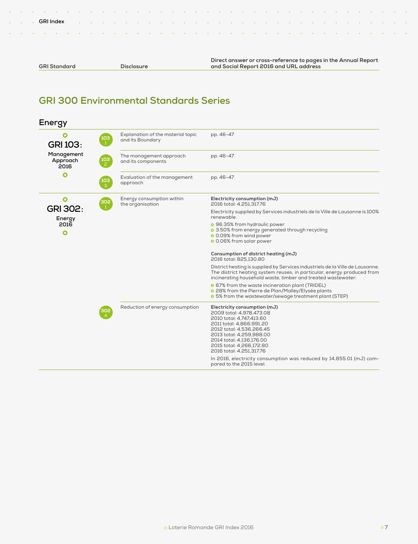| . A constitution of the constitution of the constitution of the constitution of the constitution of the constitution |  |
|----------------------------------------------------------------------------------------------------------------------|--|
|                                                                                                                      |  |
| . A construction of the construction of the construction of the construction of the construction of the construction |  |
|                                                                                                                      |  |

```
GRI Standard Disclosure
```
**Direct answer or cross-reference to pages in the Annual Report and Social Report 2016 and URL address**

# **GRI 300 Environmental Standards Series**

| Energy                         |                       |                                                       |                                                                                                                                                                                                                                                              |
|--------------------------------|-----------------------|-------------------------------------------------------|--------------------------------------------------------------------------------------------------------------------------------------------------------------------------------------------------------------------------------------------------------------|
| O<br><b>GRI 103:</b>           | 103                   | Explanation of the material topic<br>and its Boundary | pp. 46-47                                                                                                                                                                                                                                                    |
| Management<br>Approach<br>2016 | 103<br>$\overline{2}$ | The management approach<br>and its components         | pp. 46-47                                                                                                                                                                                                                                                    |
| O                              | 103<br>3              | Evaluation of the management<br>approach              | pp. 46-47                                                                                                                                                                                                                                                    |
| Ο                              | 302                   | Energy consumption within<br>the organisation         | Electricity consumption (mJ)<br>2016 total: 4,251,317.76                                                                                                                                                                                                     |
| GRI 302:<br>Energy             |                       |                                                       | Electricity supplied by Services industriels de la Ville de Lausanne is 100%<br>renewable.                                                                                                                                                                   |
| 2016<br>O                      |                       |                                                       | o 96.35% from hydraulic power<br>o 3.50% from energy generated through recycling<br><b>o</b> 0.09% from wind power<br>o 0.06% from solar power                                                                                                               |
|                                |                       |                                                       | Consumption of district heating (mJ)<br>2016 total: 825.130.80                                                                                                                                                                                               |
|                                |                       |                                                       | District heating is supplied by Services industriels de la Ville de Lausanne.<br>The district heating system reuses, in particular, energy produced from<br>incinerating household waste, timber and treated wastewater:                                     |
|                                |                       |                                                       | <b>o</b> 67% from the waste incineration plant (TRIDEL)<br>o 28% from the Pierre de Plan/Malley/Elysée plants<br><b>o</b> 5% from the wastewater/sewage treatment plant (STEP)                                                                               |
|                                | 302                   | Reduction of energy consumption                       | Electricity consumption (mJ)<br>2009 total: 4,978,473.08<br>2010 total: 4,747,413.60<br>2011 total: 4,866,991.20<br>2012 total: 4,536,266.45<br>2013 total: 4,259,988.00<br>2014 total: 4,136,176.00<br>2015 total: 4,266,172.80<br>2016 total: 4,251,317.76 |
|                                |                       |                                                       | In 2016, electricity consumption was reduced by 14,855.01 (mJ) com-<br>pared to the 2015 level.                                                                                                                                                              |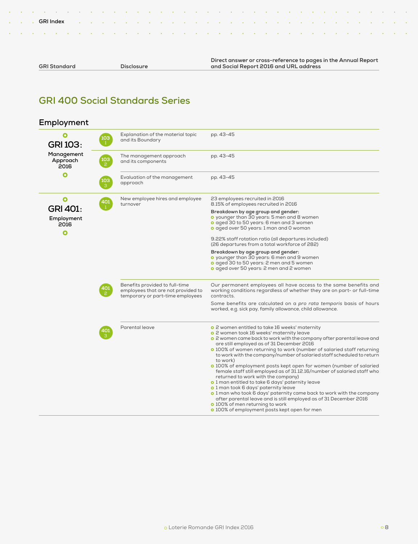|  | <b>GRI Standard</b> |
|--|---------------------|
|--|---------------------|

**GRI Index**

**GRI Standard Disclosure**

**Direct answer or cross-reference to pages in the Annual Report and Social Report 2016 and URL address**

## **GRI 400 Social Standards Series**

#### **Employment**  $\overline{\mathbf{o}}$ Explanation of the material topic pp. 43-45 **103** and its Boundary **GRI 103:** 1  **Management**  The management approach pp. 43-45 **Approach 103** and its components **2016** O Evaluation of the management pp. 43-45 **103** approach 3  $\mathbf{o}$ New employee hires and employee 23 employees recruited in 2016 **401** turnover 8.15% of employees recruited in 2016 **GRI 401:** 1 **Breakdown by age group and gender:** younger than 30 years: 5 men and 8 women  **Employment**  o aged 30 to 50 years: 6 men and 3 women **2016** aged over 50 years: 1 man and 0 woman O 9.22% staff rotation ratio (all departures included) (26 departures from a total workforce of 282) **Breakdown by age group and gender:** younger than 30 years: 6 men and 9 women aged 30 to 50 years: 2 men and 5 women aged over 50 years: 2 men and 2 women Benefits provided to full-time Our permanent employees all have access to the same benefits and **401** employees that are not provided to working conditions regardless of whether they are on part- or full-time temporary or part-time employees contracts. Some benefits are calculated on a *pro rata temporis* basis of hours worked, e.g. sick pay, family allowance, child allowance. Parental leave 2 women entitled to take 16 weeks' maternity **401** o 2 women took 16 weeks' maternity leave <sup>o</sup> 2 women came back to work with the company after parental leave and are still employed as of 31 December 2016 o 100% of women returning to work (number of salaried staff returning to work with the company/number of salaried staff scheduled to return to work) 100% of employment posts kept open for women (number of salaried female staff still employed as of 31.12.16/number of salaried staff who returned to work with the company) o 1 man entitled to take 6 days' paternity leave o 1 man took 6 days' paternity leave o 1 man who took 6 days' paternity came back to work with the company after parental leave and is still employed as of 31 December 2016 o 100% of men returning to work **o** 100% of employment posts kept open for men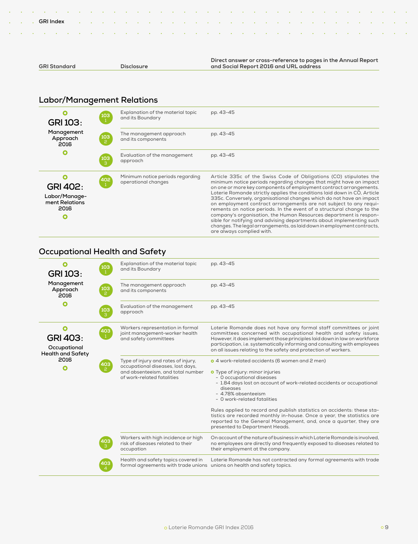|                     |            | Direct answer or cross-reference to pages in the Annual Report |
|---------------------|------------|----------------------------------------------------------------|
| <b>GRI Standard</b> | Disclosure | and Social Report 2016 and URL address                         |

# **Labor/Management Relations**

| <b>GRI 103:</b>                                                 | $\frac{103}{1}$ | Explanation of the material topic<br>and its Boundary   | pp. 43-45                                                                                                                                                                                                                                                                                                                                                                                                                                                                                                                                                                                                                                                                                                                                                           |
|-----------------------------------------------------------------|-----------------|---------------------------------------------------------|---------------------------------------------------------------------------------------------------------------------------------------------------------------------------------------------------------------------------------------------------------------------------------------------------------------------------------------------------------------------------------------------------------------------------------------------------------------------------------------------------------------------------------------------------------------------------------------------------------------------------------------------------------------------------------------------------------------------------------------------------------------------|
| Management<br>Approach<br>2016                                  | $\frac{103}{2}$ | The management approach<br>and its components           | pp. 43-45                                                                                                                                                                                                                                                                                                                                                                                                                                                                                                                                                                                                                                                                                                                                                           |
| O                                                               | 103<br>3        | Evaluation of the management<br>approach                | pp. 43-45                                                                                                                                                                                                                                                                                                                                                                                                                                                                                                                                                                                                                                                                                                                                                           |
| <b>GRI 402:</b><br>Labor/Manage-<br>ment Relations<br>2016<br>O | 402             | Minimum notice periods regarding<br>operational changes | Article 335c of the Swiss Code of Obligations (CO) stipulates the<br>minimum notice periods regarding changes that might have an impact<br>on one or more key components of employment contract arrangements.<br>Loterie Romande strictly applies the conditions laid down in CO, Article<br>335c. Conversely, organisational changes which do not have an impact<br>on employment contract arrangements are not subject to any requi-<br>rements on notice periods. In the event of a structural change to the<br>company's organisation, the Human Resources department is respon-<br>sible for notifying and advising departments about implementing such<br>changes. The legal arrangements, as laid down in employment contracts,<br>are always complied with. |

### **Occupational Health and Safety**

| <b>GRI 103:</b>                                                  | $\frac{103}{1}$                          | Explanation of the material topic<br>and its Boundary                                                                                       | pp. 43-45                                                                                                                                                                                                                                                                                                                                                                                                                                                                                                                            |
|------------------------------------------------------------------|------------------------------------------|---------------------------------------------------------------------------------------------------------------------------------------------|--------------------------------------------------------------------------------------------------------------------------------------------------------------------------------------------------------------------------------------------------------------------------------------------------------------------------------------------------------------------------------------------------------------------------------------------------------------------------------------------------------------------------------------|
| Management<br>Approach<br>2016                                   | юз                                       | The management approach<br>and its components                                                                                               | pp. 43-45                                                                                                                                                                                                                                                                                                                                                                                                                                                                                                                            |
| Ο                                                                | 103                                      | Evaluation of the management<br>approach                                                                                                    | pp. 43-45                                                                                                                                                                                                                                                                                                                                                                                                                                                                                                                            |
| O<br><b>GRI 403:</b><br>Occupational<br><b>Health and Safety</b> | $\begin{bmatrix} 403 \\ 1 \end{bmatrix}$ | Workers representation in formal<br>joint management-worker health<br>and safety committees                                                 | Loterie Romande does not have any formal staff committees or joint<br>committees concerned with occupational health and safety issues.<br>However, it does implement those principles laid down in law on workforce<br>participation, i.e. systematically informing and consulting with employees<br>on all issues relating to the safety and protection of workers.                                                                                                                                                                 |
| 2016<br>Ω                                                        | 403                                      | Type of injury and rates of injury,<br>occupational diseases, lost days,<br>and absenteeism, and total number<br>of work-related fatalities | <b>o</b> 4 work-related accidents (6 women and 2 men)<br><b>O</b> Type of injury: minor injuries<br>- 0 occupational diseases<br>- 1.84 days lost on account of work-related accidents or occupational<br>diseases<br>- 4.78% absenteeism<br>- 0 work-related fatalities<br>Rules applied to record and publish statistics on accidents: these sta-<br>tistics are recorded monthly in-house. Once a year, the statistics are<br>reported to the General Management, and, once a quarter, they are<br>presented to Department Heads. |
|                                                                  | 403                                      | Workers with high incidence or high<br>risk of diseases related to their<br>occupation                                                      | On account of the nature of business in which Loterie Romande is involved.<br>no employees are directly and frequently exposed to diseases related to<br>their employment at the company.                                                                                                                                                                                                                                                                                                                                            |
|                                                                  | 403                                      | Health and safety topics covered in<br>formal agreements with trade unions unions on health and safety topics.                              | Loterie Romande has not contracted any formal agreements with trade                                                                                                                                                                                                                                                                                                                                                                                                                                                                  |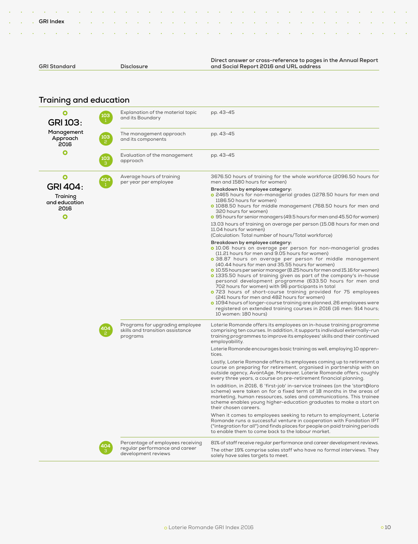| <b>GRI Standard</b> | <b>Disclosure</b> |  |
|---------------------|-------------------|--|

#### **Direct answer or cross-reference to pages in the Annual Report and Social Report 2016 and URL address**

# **Training and education**

| Ο<br><b>GRI 103:</b>                                      | 103<br>$\mathbf{1}$ | Explanation of the material topic<br>and its Boundary                           | pp. 43-45                                                                                                                                                                                                                                                                                                                                                                                                                                                                                                                                                                                                                                                                                                                                                                                                                         |
|-----------------------------------------------------------|---------------------|---------------------------------------------------------------------------------|-----------------------------------------------------------------------------------------------------------------------------------------------------------------------------------------------------------------------------------------------------------------------------------------------------------------------------------------------------------------------------------------------------------------------------------------------------------------------------------------------------------------------------------------------------------------------------------------------------------------------------------------------------------------------------------------------------------------------------------------------------------------------------------------------------------------------------------|
| Management<br>Approach<br>2016                            | 103                 | The management approach<br>and its components                                   | pp. 43-45                                                                                                                                                                                                                                                                                                                                                                                                                                                                                                                                                                                                                                                                                                                                                                                                                         |
| Ο                                                         | 103                 | Evaluation of the management<br>approach                                        | pp. 43-45                                                                                                                                                                                                                                                                                                                                                                                                                                                                                                                                                                                                                                                                                                                                                                                                                         |
| Ο                                                         | 404                 | Average hours of training<br>per year per employee                              | 3676.50 hours of training for the whole workforce (2096.50 hours for<br>men and 1580 hours for women)                                                                                                                                                                                                                                                                                                                                                                                                                                                                                                                                                                                                                                                                                                                             |
| <b>GRI 404:</b><br>Training<br>and education<br>2016<br>Ο |                     |                                                                                 | Breakdown by employee category:<br><b>o</b> 2465 hours for non-managerial grades (1278.50 hours for men and<br>1186.50 hours for women)<br>o 1088.50 hours for middle management (768.50 hours for men and<br>320 hours for women)<br>o 95 hours for senior managers (49.5 hours for men and 45.50 for women)                                                                                                                                                                                                                                                                                                                                                                                                                                                                                                                     |
|                                                           |                     |                                                                                 | 13.03 hours of training on average per person (15.08 hours for men and<br>11.04 hours for women)<br>(Calculation: Total number of hours/Total workforce)                                                                                                                                                                                                                                                                                                                                                                                                                                                                                                                                                                                                                                                                          |
|                                                           |                     |                                                                                 | Breakdown by employee category:<br>o 10.06 hours on average per person for non-managerial grades<br>(11.21 hours for men and 9.05 hours for women)<br>o 38.87 hours on average per person for middle management<br>(40.44 hours for men and 35.55 hours for women)<br>o 10.55 hours per senior manager (8.25 hours for men and 15.16 for women)<br>o 1335.50 hours of training given as part of the company's in-house<br>personal development programme (633.50 hours for men and<br>702 hours for women) with 96 participants in total<br>o 723 hours of short-course training provided for 75 employees<br>(241 hours for men and 482 hours for women)<br>o 1094 hours of longer-course training are planned, 26 employees were<br>registered on extended training courses in 2016 (16 men: 914 hours;<br>10 women: 180 hours) |
|                                                           | 104                 | Programs for upgrading employee<br>skills and transition assistance<br>programs | Loterie Romande offers its employees an in-house training programme<br>comprising ten courses. In addition, it supports individual externally-run<br>training programmes to improve its employees' skills and their continued<br>employability.                                                                                                                                                                                                                                                                                                                                                                                                                                                                                                                                                                                   |
|                                                           |                     |                                                                                 | Loterie Romande encourages basic training as well, employing 10 appren-<br>tices.                                                                                                                                                                                                                                                                                                                                                                                                                                                                                                                                                                                                                                                                                                                                                 |
|                                                           |                     |                                                                                 | Lastly, Loterie Romande offers its employees coming up to retirement a<br>course on preparing for retirement, organised in partnership with an<br>outside agency, AvantAge. Moreover, Loterie Romande offers, roughly<br>every three years, a course on pre-retirement financial planning.                                                                                                                                                                                                                                                                                                                                                                                                                                                                                                                                        |
|                                                           |                     |                                                                                 | In addition, in 2016, 6 'first-job' in-service trainees (on the 'start@loro<br>scheme) were taken on for a fixed term of 18 months in the areas of<br>marketing, human ressources, sales and communications. This trainee<br>scheme enables young higher-education graduates to make a start on<br>their chosen careers.                                                                                                                                                                                                                                                                                                                                                                                                                                                                                                          |
|                                                           |                     |                                                                                 | When it comes to employees seeking to return to employment, Loterie<br>Romande runs a successful venture in cooperation with Fondation IPT<br>("integration for all") and finds places for people on paid training periods<br>to enable them to come back to the labour market.                                                                                                                                                                                                                                                                                                                                                                                                                                                                                                                                                   |
|                                                           |                     | Percentage of employees receiving<br>regular performance and career             | 81% of staff receive regular performance and career development reviews.                                                                                                                                                                                                                                                                                                                                                                                                                                                                                                                                                                                                                                                                                                                                                          |
|                                                           |                     | development reviews                                                             | The other 19% comprise sales staff who have no formal interviews. They<br>solely have sales targets to meet.                                                                                                                                                                                                                                                                                                                                                                                                                                                                                                                                                                                                                                                                                                                      |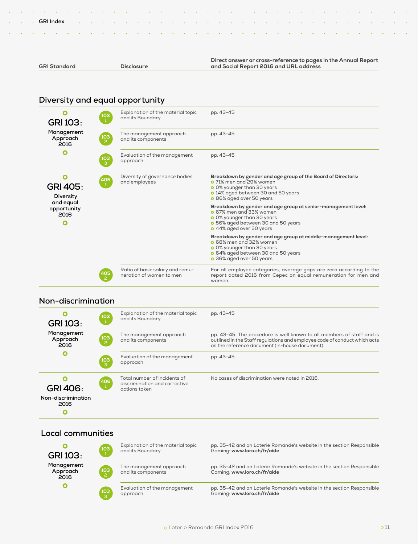| a carra a carra a carra da carra da carra da carra da carra da carra da carra da carra da carra da carra da |  |
|-------------------------------------------------------------------------------------------------------------|--|

```
GRI Standard Disclosure
```
**Direct answer or cross-reference to pages in the Annual Report and Social Report 2016 and URL address**

# **Diversity and equal opportunity**

| <b>GRI 103:</b>                       | 103                          | Explanation of the material topic<br>and its Boundary       | pp. 43-45                                                                                                                                                                                              |
|---------------------------------------|------------------------------|-------------------------------------------------------------|--------------------------------------------------------------------------------------------------------------------------------------------------------------------------------------------------------|
| Management<br>Approach<br>2016        | $\frac{103}{2}$              | The management approach<br>and its components               | pp. 43-45                                                                                                                                                                                              |
| O                                     | 103<br>$\mathcal{B}$         | Evaluation of the management<br>approach                    | pp. 43-45                                                                                                                                                                                              |
| <b>GRI 405:</b><br>Diversity          | $\left[\frac{405}{1}\right]$ | Diversity of governance bodies<br>and employees             | Breakdown by gender and age group of the Board of Directors:<br><b>o</b> 71% men and 29% women<br><b>o</b> 0% younger than 30 years<br>o 14% aged between 30 and 50 years<br>o 86% aged over 50 years  |
| and equal<br>opportunity<br>2016<br>O |                              |                                                             | Breakdown by gender and age group at senior-management level:<br><b>o</b> 67% men and 33% women<br>o 0% younger than 30 years<br><b>o</b> 56% aged between 30 and 50 years<br>o 44% aged over 50 years |
|                                       |                              |                                                             | Breakdown by gender and age group at middle-management level:<br><b>o</b> 68% men and 32% women<br><b>o</b> 0% younger than 30 years<br>o 64% aged between 30 and 50 years<br>o 36% aged over 50 years |
|                                       | 405                          | Ratio of basic salary and remu-<br>neration of women to men | For all employee categories, average gaps are zero according to the<br>report dated 2016 from Cepec on equal remuneration for men and<br>women.                                                        |

### **Non-discrimination**

| <b>GRI 103:</b>                               | 103                  | Explanation of the material topic<br>and its Boundary                          | pp. 43-45                                                                                                                                                                                            |
|-----------------------------------------------|----------------------|--------------------------------------------------------------------------------|------------------------------------------------------------------------------------------------------------------------------------------------------------------------------------------------------|
| Management<br>Approach<br>2016                | 103<br>$\mathcal{P}$ | The management approach<br>and its components                                  | pp. 43-45. The procedure is well known to all members of staff and is<br>outlined in the Staff regulations and employee code of conduct which acts<br>as the reference document (in-house document). |
| O                                             | 103<br>3             | Evaluation of the management<br>approach                                       | pp. 43-45                                                                                                                                                                                            |
| <b>GRI 406:</b><br>Non-discrimination<br>2016 | 406                  | Total number of incidents of<br>discrimination and corrective<br>actions taken | No cases of discrimination were noted in 2016.                                                                                                                                                       |

### **Local communities**

| <b>GRI 103:</b>                | 103                | Explanation of the material topic<br>and its Boundary | pp. 35-42 and on Loterie Romande's website in the section Responsible<br>Gaming: www.loro.ch/fr/aide |
|--------------------------------|--------------------|-------------------------------------------------------|------------------------------------------------------------------------------------------------------|
| Management<br>Approach<br>2016 | ั <b>103</b><br>เ2 | The management approach<br>and its components         | pp. 35-42 and on Loterie Romande's website in the section Responsible<br>Gaming: www.loro.ch/fr/aide |
|                                | $\frac{103}{3}$    | Evaluation of the management<br>approach              | pp. 35-42 and on Loterie Romande's website in the section Responsible<br>Gaming: www.loro.ch/fr/aide |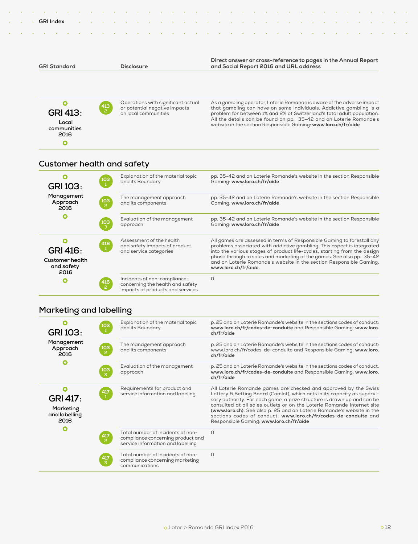| <b>GRI Index</b>    |  |                   |  |  |  |  |                                                                                                          |  |  |  |  |  |  |
|---------------------|--|-------------------|--|--|--|--|----------------------------------------------------------------------------------------------------------|--|--|--|--|--|--|
|                     |  |                   |  |  |  |  |                                                                                                          |  |  |  |  |  |  |
| <b>GRI Standard</b> |  | <b>Disclosure</b> |  |  |  |  | Direct answer or cross-reference to pages in the Annual Report<br>and Social Report 2016 and URL address |  |  |  |  |  |  |
|                     |  |                   |  |  |  |  |                                                                                                          |  |  |  |  |  |  |

problem for between 1% and 2% of Switzerland's total adult population. All the details can be found on pp. 35-42 and on Loterie Romande's website in the section Responsible Gaming: **www.loro.ch/fr/aide**

### **Customer health and safety**

 **Local communities 2016**

 $\bullet$ 

| <b>GRI 103:</b>                                                 | 103             | Explanation of the material topic<br>and its Boundary                                                | pp. 35-42 and on Loterie Romande's website in the section Responsible<br>Gaming: www.loro.ch/fr/aide                                                                                                                                                                                                                                                                                                 |
|-----------------------------------------------------------------|-----------------|------------------------------------------------------------------------------------------------------|------------------------------------------------------------------------------------------------------------------------------------------------------------------------------------------------------------------------------------------------------------------------------------------------------------------------------------------------------------------------------------------------------|
| Management<br>Approach<br>2016                                  | $\frac{103}{2}$ | The management approach<br>and its components                                                        | pp. 35-42 and on Loterie Romande's website in the section Responsible<br>Gaming: www.loro.ch/fr/aide                                                                                                                                                                                                                                                                                                 |
|                                                                 | $\frac{103}{3}$ | Evaluation of the management<br>approach                                                             | pp. 35-42 and on Loterie Romande's website in the section Responsible<br>Gaming: www.loro.ch/fr/aide                                                                                                                                                                                                                                                                                                 |
| <b>GRI 416:</b><br><b>Customer health</b><br>and safety<br>2016 | 416             | Assessment of the health<br>and safety impacts of product<br>and service categories                  | All games are assessed in terms of Responsible Gaming to forestall any<br>problems associated with addictive gambling. This aspect is integrated<br>into the various stages of product life-cycles, starting from the design<br>phase through to sales and marketing of the games. See also pp. 35-42<br>and on Loterie Romande's website in the section Responsible Gaming:<br>www.loro.ch/fr/aide. |
| O                                                               | 416<br>2        | Incidents of non-compliance-<br>concerning the health and safety<br>impacts of products and services | 0                                                                                                                                                                                                                                                                                                                                                                                                    |

# **Marketing and labelling**

| $\frac{103}{1}$<br><b>GRI 103:</b>                                            | Explanation of the material topic<br>and its Boundary                                                       | p. 25 and on Loterie Romande's website in the sections codes of conduct:<br>www.loro.ch/fr/codes-de-conduite and Responsible Gaming: www.loro.<br>ch/fr/aide                                                                                                                                                                                                                                                                                                                            |
|-------------------------------------------------------------------------------|-------------------------------------------------------------------------------------------------------------|-----------------------------------------------------------------------------------------------------------------------------------------------------------------------------------------------------------------------------------------------------------------------------------------------------------------------------------------------------------------------------------------------------------------------------------------------------------------------------------------|
| Management<br>$\frac{103}{2}$<br>Approach<br>2016                             | The management approach<br>and its components                                                               | p. 25 and on Loterie Romande's website in the sections codes of conduct:<br>www.loro.ch/fr/codes-de-conduite and Responsible Gaming: www.loro.<br>ch/fr/aide                                                                                                                                                                                                                                                                                                                            |
| О<br>$\frac{103}{3}$                                                          | Evaluation of the management<br>approach                                                                    | p. 25 and on Loterie Romande's website in the sections codes of conduct:<br>www.loro.ch/fr/codes-de-conduite and Responsible Gaming: www.loro.<br>ch/fr/aide                                                                                                                                                                                                                                                                                                                            |
| Ο<br>$\frac{417}{1}$<br><b>GRI 417:</b><br>Marketing<br>and labelling<br>2016 | Requirements for product and<br>service information and labeling                                            | All Loterie Romande games are checked and approved by the Swiss<br>Lottery & Betting Board (Comlot), which acts in its capacity as supervi-<br>sory authority. For each game, a prize structure is drawn up and can be<br>consulted at all sales outlets or on the Loterie Romande Internet site<br>(www.loro.ch). See also p. 25 and on Loterie Romande's website in the<br>sections codes of conduct: www.loro.ch/fr/codes-de-conduite and<br>Responsible Gaming: www.loro.ch/fr/aide |
| O<br>$\frac{417}{2}$                                                          | Total number of incidents of non-<br>compliance concerning product and<br>service information and labelling | $\Omega$                                                                                                                                                                                                                                                                                                                                                                                                                                                                                |
| $\frac{417}{3}$                                                               | Total number of incidents of non-<br>compliance concerning marketing<br>communications                      | $\Omega$                                                                                                                                                                                                                                                                                                                                                                                                                                                                                |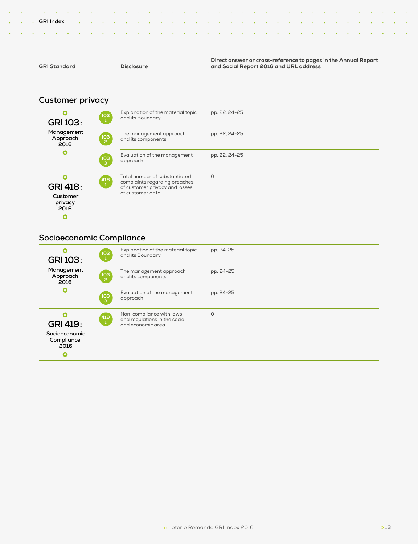| <b>GRI Standard</b> | <b>Disclosure</b> | and Social Report 2016 and URL address                         |
|---------------------|-------------------|----------------------------------------------------------------|
|                     |                   |                                                                |
|                     |                   | Direct answer or cross-reference to pages in the Annual Report |

### **Customer privacy**

| $\mathbf 0$<br><b>GRI 103:</b>                             | $\begin{pmatrix} 103 \\ 1 \end{pmatrix}$ | Explanation of the material topic<br>and its Boundary                                                                | pp. 22, 24-25 |
|------------------------------------------------------------|------------------------------------------|----------------------------------------------------------------------------------------------------------------------|---------------|
| Management<br>Approach<br>2016                             | 103<br>、2                                | The management approach<br>and its components                                                                        | pp. 22, 24-25 |
| $\bullet$                                                  | $\begin{bmatrix} 103 \ 3 \end{bmatrix}$  | Evaluation of the management<br>approach                                                                             | pp. 22, 24-25 |
| $\Omega$<br><b>GRI 418:</b><br>Customer<br>privacy<br>2016 | $\begin{pmatrix} 418 \ 1 \end{pmatrix}$  | Total number of substantiated<br>complaints regarding breaches<br>of customer privacy and losses<br>of customer data | $\Omega$      |
| O                                                          |                                          |                                                                                                                      |               |

### **Socioeconomic Compliance**